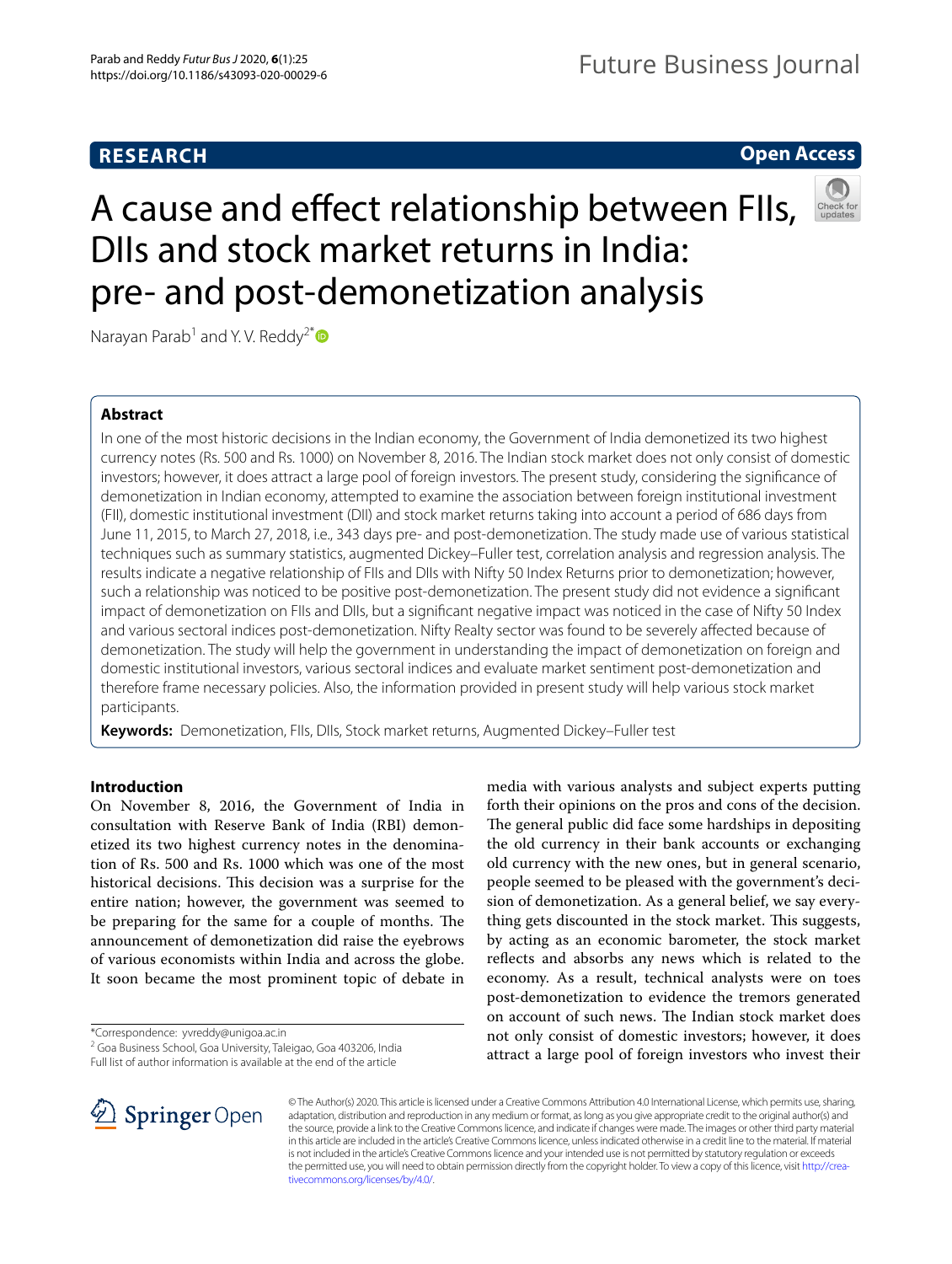# **RESEARCH**

# **Open Access**

# A cause and efect relationship between FIIs, DIIs and stock market returns in India: pre- and post-demonetization analysis



Narayan Parab<sup>1</sup> and Y.V. Reddy<sup>2[\\*](http://orcid.org/0000-0002-0805-6637)</sup>

## **Abstract**

In one of the most historic decisions in the Indian economy, the Government of India demonetized its two highest currency notes (Rs. 500 and Rs. 1000) on November 8, 2016. The Indian stock market does not only consist of domestic investors; however, it does attract a large pool of foreign investors. The present study, considering the signifcance of demonetization in Indian economy, attempted to examine the association between foreign institutional investment (FII), domestic institutional investment (DII) and stock market returns taking into account a period of 686 days from June 11, 2015, to March 27, 2018, i.e., 343 days pre- and post-demonetization. The study made use of various statistical techniques such as summary statistics, augmented Dickey–Fuller test, correlation analysis and regression analysis. The results indicate a negative relationship of FIIs and DIIs with Nifty 50 Index Returns prior to demonetization; however, such a relationship was noticed to be positive post-demonetization. The present study did not evidence a signifcant impact of demonetization on FIIs and DIIs, but a signifcant negative impact was noticed in the case of Nifty 50 Index and various sectoral indices post-demonetization. Nifty Realty sector was found to be severely afected because of demonetization. The study will help the government in understanding the impact of demonetization on foreign and domestic institutional investors, various sectoral indices and evaluate market sentiment post-demonetization and therefore frame necessary policies. Also, the information provided in present study will help various stock market participants.

**Keywords:** Demonetization, FIIs, DIIs, Stock market returns, Augmented Dickey–Fuller test

## **Introduction**

On November 8, 2016, the Government of India in consultation with Reserve Bank of India (RBI) demonetized its two highest currency notes in the denomination of Rs. 500 and Rs. 1000 which was one of the most historical decisions. This decision was a surprise for the entire nation; however, the government was seemed to be preparing for the same for a couple of months. The announcement of demonetization did raise the eyebrows of various economists within India and across the globe. It soon became the most prominent topic of debate in

\*Correspondence: yvreddy@unigoa.ac.in

<sup>2</sup> Goa Business School, Goa University, Taleigao, Goa 403206, India

Full list of author information is available at the end of the article

media with various analysts and subject experts putting forth their opinions on the pros and cons of the decision. The general public did face some hardships in depositing the old currency in their bank accounts or exchanging old currency with the new ones, but in general scenario, people seemed to be pleased with the government's decision of demonetization. As a general belief, we say everything gets discounted in the stock market. This suggests, by acting as an economic barometer, the stock market reflects and absorbs any news which is related to the economy. As a result, technical analysts were on toes post-demonetization to evidence the tremors generated on account of such news. The Indian stock market does not only consist of domestic investors; however, it does attract a large pool of foreign investors who invest their



© The Author(s) 2020. This article is licensed under a Creative Commons Attribution 4.0 International License, which permits use, sharing, adaptation, distribution and reproduction in any medium or format, as long as you give appropriate credit to the original author(s) and the source, provide a link to the Creative Commons licence, and indicate if changes were made. The images or other third party material in this article are included in the article's Creative Commons licence, unless indicated otherwise in a credit line to the material. If material is not included in the article's Creative Commons licence and your intended use is not permitted by statutory regulation or exceeds the permitted use, you will need to obtain permission directly from the copyright holder. To view a copy of this licence, visit [http://crea](http://creativecommons.org/licenses/by/4.0/)[tivecommons.org/licenses/by/4.0/.](http://creativecommons.org/licenses/by/4.0/)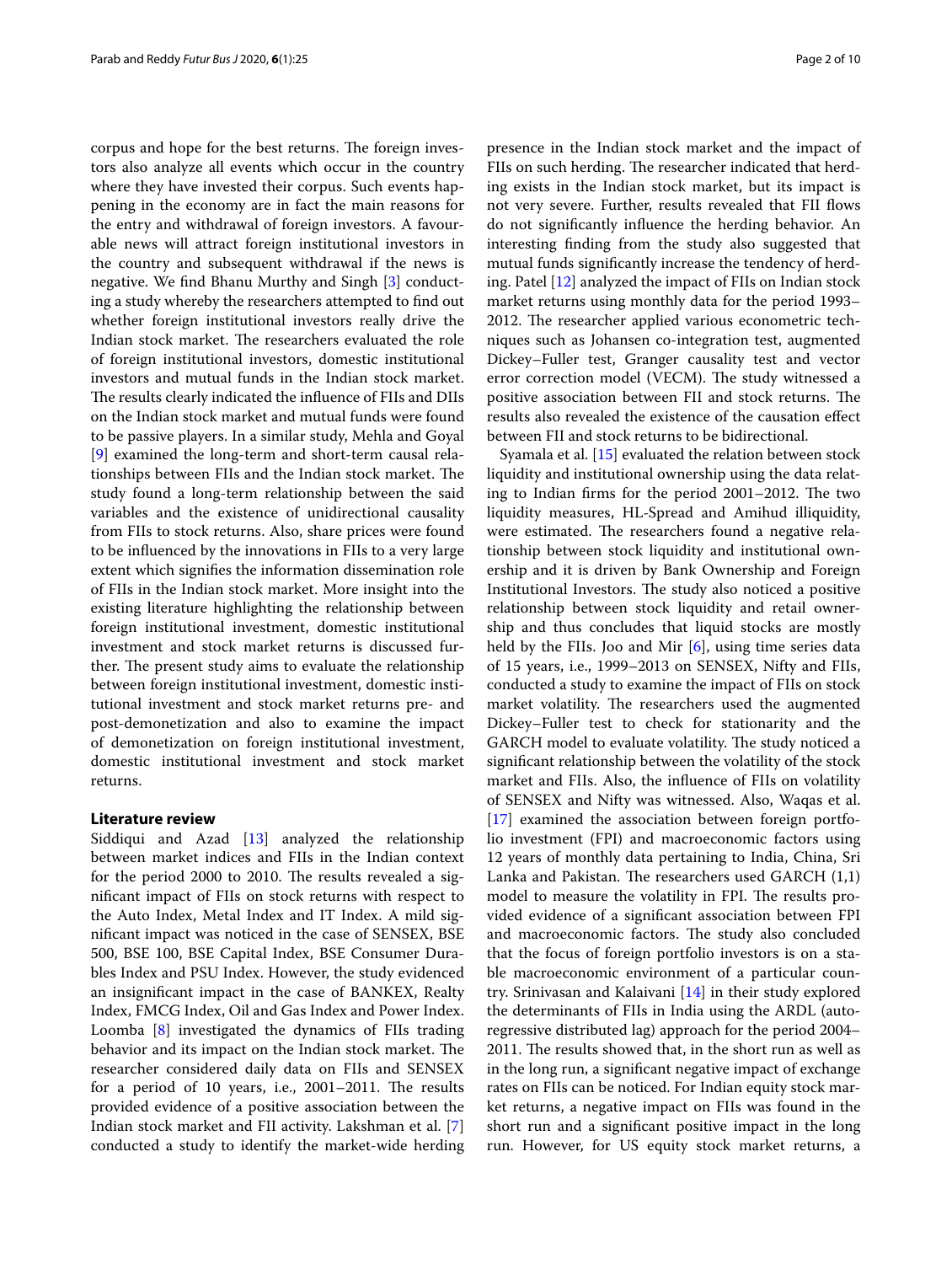corpus and hope for the best returns. The foreign investors also analyze all events which occur in the country where they have invested their corpus. Such events happening in the economy are in fact the main reasons for the entry and withdrawal of foreign investors. A favourable news will attract foreign institutional investors in the country and subsequent withdrawal if the news is negative. We fnd Bhanu Murthy and Singh [[3\]](#page-9-0) conducting a study whereby the researchers attempted to fnd out whether foreign institutional investors really drive the Indian stock market. The researchers evaluated the role of foreign institutional investors, domestic institutional investors and mutual funds in the Indian stock market. The results clearly indicated the influence of FIIs and DIIs on the Indian stock market and mutual funds were found to be passive players. In a similar study, Mehla and Goyal [[9\]](#page-9-1) examined the long-term and short-term causal relationships between FIIs and the Indian stock market. The study found a long-term relationship between the said variables and the existence of unidirectional causality from FIIs to stock returns. Also, share prices were found to be infuenced by the innovations in FIIs to a very large extent which signifes the information dissemination role of FIIs in the Indian stock market. More insight into the existing literature highlighting the relationship between foreign institutional investment, domestic institutional investment and stock market returns is discussed further. The present study aims to evaluate the relationship between foreign institutional investment, domestic institutional investment and stock market returns pre- and post-demonetization and also to examine the impact of demonetization on foreign institutional investment, domestic institutional investment and stock market returns.

## **Literature review**

Siddiqui and Azad [\[13](#page-9-2)] analyzed the relationship between market indices and FIIs in the Indian context for the period 2000 to 2010. The results revealed a signifcant impact of FIIs on stock returns with respect to the Auto Index, Metal Index and IT Index. A mild signifcant impact was noticed in the case of SENSEX, BSE 500, BSE 100, BSE Capital Index, BSE Consumer Durables Index and PSU Index. However, the study evidenced an insignifcant impact in the case of BANKEX, Realty Index, FMCG Index, Oil and Gas Index and Power Index. Loomba [[8\]](#page-9-3) investigated the dynamics of FIIs trading behavior and its impact on the Indian stock market. The researcher considered daily data on FIIs and SENSEX for a period of 10 years, i.e.,  $2001-2011$ . The results provided evidence of a positive association between the Indian stock market and FII activity. Lakshman et al. [\[7](#page-9-4)] conducted a study to identify the market-wide herding

presence in the Indian stock market and the impact of FIIs on such herding. The researcher indicated that herding exists in the Indian stock market, but its impact is not very severe. Further, results revealed that FII fows do not signifcantly infuence the herding behavior. An interesting fnding from the study also suggested that mutual funds signifcantly increase the tendency of herding. Patel [[12\]](#page-9-5) analyzed the impact of FIIs on Indian stock market returns using monthly data for the period 1993– 2012. The researcher applied various econometric techniques such as Johansen co-integration test, augmented Dickey–Fuller test, Granger causality test and vector error correction model (VECM). The study witnessed a positive association between FII and stock returns. The results also revealed the existence of the causation efect between FII and stock returns to be bidirectional.

Syamala et al. [[15\]](#page-9-6) evaluated the relation between stock liquidity and institutional ownership using the data relating to Indian firms for the period 2001–2012. The two liquidity measures, HL-Spread and Amihud illiquidity, were estimated. The researchers found a negative relationship between stock liquidity and institutional ownership and it is driven by Bank Ownership and Foreign Institutional Investors. The study also noticed a positive relationship between stock liquidity and retail ownership and thus concludes that liquid stocks are mostly held by the FIIs. Joo and Mir [[6\]](#page-9-7), using time series data of 15 years, i.e., 1999–2013 on SENSEX, Nifty and FIIs, conducted a study to examine the impact of FIIs on stock market volatility. The researchers used the augmented Dickey–Fuller test to check for stationarity and the GARCH model to evaluate volatility. The study noticed a signifcant relationship between the volatility of the stock market and FIIs. Also, the infuence of FIIs on volatility of SENSEX and Nifty was witnessed. Also, Waqas et al. [[17\]](#page-9-8) examined the association between foreign portfolio investment (FPI) and macroeconomic factors using 12 years of monthly data pertaining to India, China, Sri Lanka and Pakistan. The researchers used GARCH  $(1,1)$ model to measure the volatility in FPI. The results provided evidence of a signifcant association between FPI and macroeconomic factors. The study also concluded that the focus of foreign portfolio investors is on a stable macroeconomic environment of a particular country. Srinivasan and Kalaivani [[14\]](#page-9-9) in their study explored the determinants of FIIs in India using the ARDL (autoregressive distributed lag) approach for the period 2004– 2011. The results showed that, in the short run as well as in the long run, a signifcant negative impact of exchange rates on FIIs can be noticed. For Indian equity stock market returns, a negative impact on FIIs was found in the short run and a signifcant positive impact in the long run. However, for US equity stock market returns, a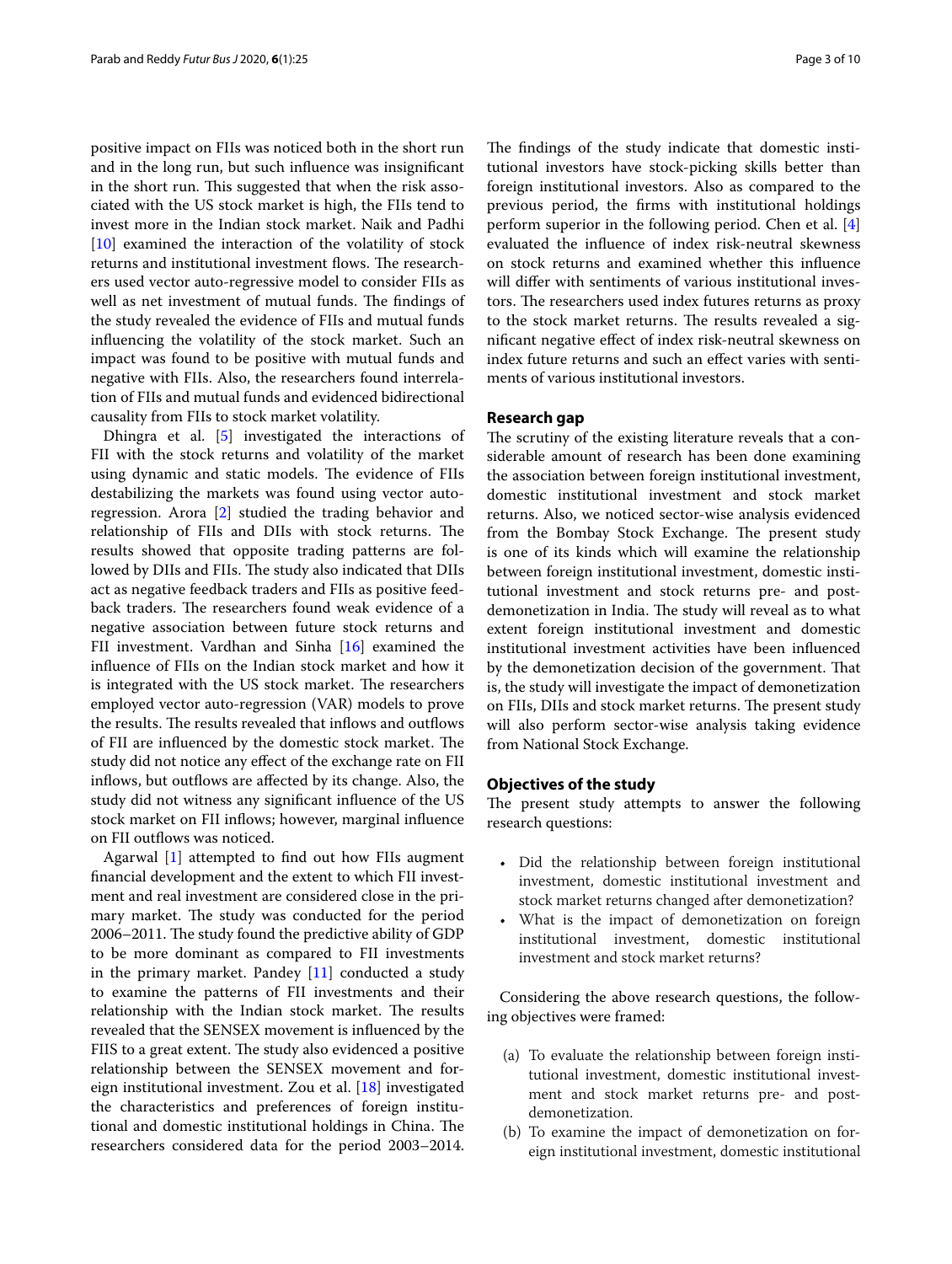positive impact on FIIs was noticed both in the short run and in the long run, but such infuence was insignifcant in the short run. This suggested that when the risk associated with the US stock market is high, the FIIs tend to invest more in the Indian stock market. Naik and Padhi [[10\]](#page-9-10) examined the interaction of the volatility of stock returns and institutional investment flows. The researchers used vector auto-regressive model to consider FIIs as well as net investment of mutual funds. The findings of the study revealed the evidence of FIIs and mutual funds infuencing the volatility of the stock market. Such an impact was found to be positive with mutual funds and negative with FIIs. Also, the researchers found interrelation of FIIs and mutual funds and evidenced bidirectional causality from FIIs to stock market volatility.

Dhingra et al. [[5\]](#page-9-11) investigated the interactions of FII with the stock returns and volatility of the market using dynamic and static models. The evidence of FIIs destabilizing the markets was found using vector autoregression. Arora [[2\]](#page-9-12) studied the trading behavior and relationship of FIIs and DIIs with stock returns. The results showed that opposite trading patterns are followed by DIIs and FIIs. The study also indicated that DIIs act as negative feedback traders and FIIs as positive feedback traders. The researchers found weak evidence of a negative association between future stock returns and FII investment. Vardhan and Sinha [\[16](#page-9-13)] examined the infuence of FIIs on the Indian stock market and how it is integrated with the US stock market. The researchers employed vector auto-regression (VAR) models to prove the results. The results revealed that inflows and outflows of FII are influenced by the domestic stock market. The study did not notice any efect of the exchange rate on FII inflows, but outflows are affected by its change. Also, the study did not witness any signifcant infuence of the US stock market on FII infows; however, marginal infuence on FII outflows was noticed.

Agarwal [\[1](#page-9-14)] attempted to fnd out how FIIs augment fnancial development and the extent to which FII investment and real investment are considered close in the primary market. The study was conducted for the period 2006–2011. The study found the predictive ability of GDP to be more dominant as compared to FII investments in the primary market. Pandey [[11](#page-9-15)] conducted a study to examine the patterns of FII investments and their relationship with the Indian stock market. The results revealed that the SENSEX movement is infuenced by the FIIS to a great extent. The study also evidenced a positive relationship between the SENSEX movement and foreign institutional investment. Zou et al. [[18\]](#page-9-16) investigated the characteristics and preferences of foreign institutional and domestic institutional holdings in China. The researchers considered data for the period 2003–2014.

The findings of the study indicate that domestic institutional investors have stock-picking skills better than foreign institutional investors. Also as compared to the previous period, the frms with institutional holdings perform superior in the following period. Chen et al. [\[4](#page-9-17)] evaluated the infuence of index risk-neutral skewness on stock returns and examined whether this infuence will difer with sentiments of various institutional investors. The researchers used index futures returns as proxy to the stock market returns. The results revealed a signifcant negative efect of index risk-neutral skewness on index future returns and such an efect varies with sentiments of various institutional investors.

## **Research gap**

The scrutiny of the existing literature reveals that a considerable amount of research has been done examining the association between foreign institutional investment, domestic institutional investment and stock market returns. Also, we noticed sector-wise analysis evidenced from the Bombay Stock Exchange. The present study is one of its kinds which will examine the relationship between foreign institutional investment, domestic institutional investment and stock returns pre- and postdemonetization in India. The study will reveal as to what extent foreign institutional investment and domestic institutional investment activities have been infuenced by the demonetization decision of the government. That is, the study will investigate the impact of demonetization on FIIs, DIIs and stock market returns. The present study will also perform sector-wise analysis taking evidence from National Stock Exchange.

## **Objectives of the study**

The present study attempts to answer the following research questions:

- Did the relationship between foreign institutional investment, domestic institutional investment and stock market returns changed after demonetization?
- What is the impact of demonetization on foreign institutional investment, domestic institutional investment and stock market returns?

Considering the above research questions, the following objectives were framed:

- (a) To evaluate the relationship between foreign institutional investment, domestic institutional investment and stock market returns pre- and postdemonetization.
- (b) To examine the impact of demonetization on foreign institutional investment, domestic institutional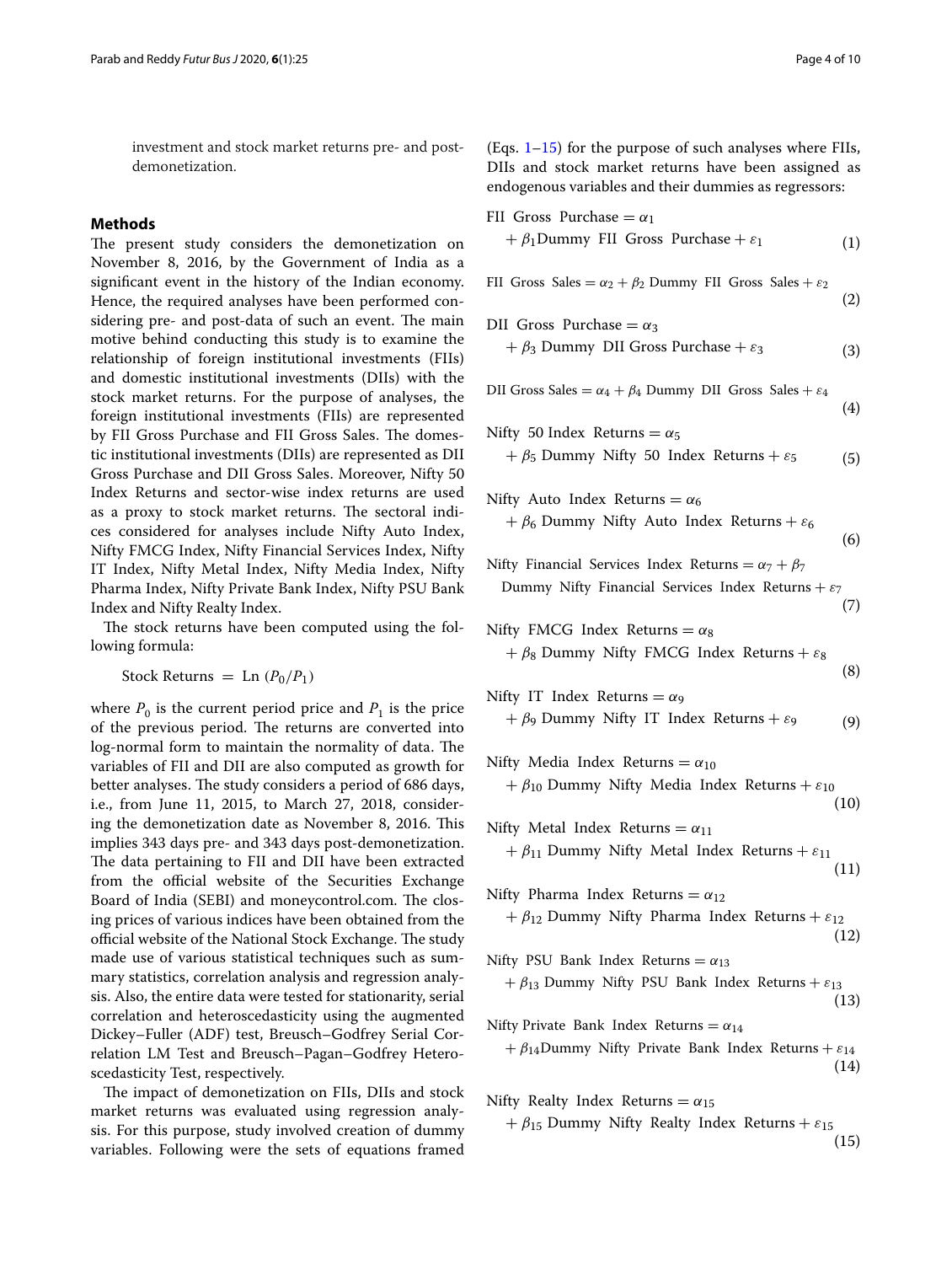investment and stock market returns pre- and postdemonetization.

## **Methods**

The present study considers the demonetization on November 8, 2016, by the Government of India as a signifcant event in the history of the Indian economy. Hence, the required analyses have been performed considering pre- and post-data of such an event. The main motive behind conducting this study is to examine the relationship of foreign institutional investments (FIIs) and domestic institutional investments (DIIs) with the stock market returns. For the purpose of analyses, the foreign institutional investments (FIIs) are represented by FII Gross Purchase and FII Gross Sales. The domestic institutional investments (DIIs) are represented as DII Gross Purchase and DII Gross Sales. Moreover, Nifty 50 Index Returns and sector-wise index returns are used as a proxy to stock market returns. The sectoral indices considered for analyses include Nifty Auto Index, Nifty FMCG Index, Nifty Financial Services Index, Nifty IT Index, Nifty Metal Index, Nifty Media Index, Nifty Pharma Index, Nifty Private Bank Index, Nifty PSU Bank Index and Nifty Realty Index.

The stock returns have been computed using the following formula:

Stock Returns = Ln  $(P_0/P_1)$ 

where  $P_0$  is the current period price and  $P_1$  is the price of the previous period. The returns are converted into log-normal form to maintain the normality of data. The variables of FII and DII are also computed as growth for better analyses. The study considers a period of 686 days, i.e., from June 11, 2015, to March 27, 2018, considering the demonetization date as November 8, 2016. This implies 343 days pre- and 343 days post-demonetization. The data pertaining to FII and DII have been extracted from the official website of the Securities Exchange Board of India (SEBI) and moneycontrol.com. The closing prices of various indices have been obtained from the official website of the National Stock Exchange. The study made use of various statistical techniques such as summary statistics, correlation analysis and regression analysis. Also, the entire data were tested for stationarity, serial correlation and heteroscedasticity using the augmented Dickey–Fuller (ADF) test, Breusch–Godfrey Serial Correlation LM Test and Breusch–Pagan–Godfrey Heteroscedasticity Test, respectively.

The impact of demonetization on FIIs, DIIs and stock market returns was evaluated using regression analysis. For this purpose, study involved creation of dummy variables. Following were the sets of equations framed

(Eqs.  $1-15$ ) for the purpose of such analyses where FIIs, DIIs and stock market returns have been assigned as endogenous variables and their dummies as regressors:

<span id="page-3-0"></span>

| FII Gross Purchase $= \alpha_1$                                                  |      |
|----------------------------------------------------------------------------------|------|
| + $\beta_1$ Dummy FII Gross Purchase + $\varepsilon_1$                           | (1)  |
|                                                                                  |      |
| FII Gross Sales = $\alpha_2 + \beta_2$ Dummy FII Gross Sales + $\varepsilon_2$   |      |
|                                                                                  | (2)  |
| DII Gross Purchase = $\alpha_3$                                                  |      |
| + $\beta_3$ Dummy DII Gross Purchase + $\varepsilon_3$                           |      |
|                                                                                  | (3)  |
| DII Gross Sales = $\alpha_4 + \beta_4$ Dummy DII Gross Sales + $\varepsilon_4$   |      |
|                                                                                  | (4)  |
|                                                                                  |      |
| Nifty 50 Index Returns = $\alpha_5$                                              |      |
| $+ \beta_5$ Dummy Nifty 50 Index Returns + $\varepsilon_5$                       | (5)  |
|                                                                                  |      |
| Nifty Auto Index Returns = $\alpha_6$                                            |      |
| + $\beta_6$ Dummy Nifty Auto Index Returns + $\varepsilon_6$                     |      |
|                                                                                  | (6)  |
| Nifty Financial Services Index Returns = $\alpha_7 + \beta_7$                    |      |
| Dummy Nifty Financial Services Index Returns + $\varepsilon_7$                   |      |
|                                                                                  | (7)  |
| Nifty FMCG Index Returns = $\alpha_8$                                            |      |
| $+ \beta_8$ Dummy Nifty FMCG Index Returns + $\varepsilon_8$                     |      |
|                                                                                  | (8)  |
|                                                                                  |      |
| Nifty IT Index Returns = $\alpha$ <sup>9</sup>                                   |      |
| $+ \beta$ <sub>9</sub> Dummy Nifty IT Index Returns + $\varepsilon$ <sub>9</sub> | (9)  |
|                                                                                  |      |
| Nifty Media Index Returns = $\alpha_{10}$                                        |      |
| + $\beta_{10}$ Dummy Nifty Media Index Returns + $\varepsilon_{10}$              |      |
|                                                                                  | (10) |
| Nifty Metal Index Returns = $\alpha_{11}$                                        |      |
| $+\beta_{11}$ Dummy Nifty Metal Index Returns + $\varepsilon_{11}$               |      |
|                                                                                  | (11) |
| Nifty Pharma Index Returns = $\alpha_{12}$                                       |      |
| $+\beta_{12}$ Dummy Nifty Pharma Index Returns + $\varepsilon_{12}$              |      |
|                                                                                  | (12) |
| Nifty PSU Bank Index Returns = $\alpha_{13}$                                     |      |
| + $\beta_{13}$ Dummy Nifty PSU Bank Index Returns + $\varepsilon_{13}$           |      |
|                                                                                  | (13) |
|                                                                                  |      |
| Nifty Private Bank Index Returns = $\alpha_{14}$                                 |      |
| + $\beta_{14}$ Dummy Nifty Private Bank Index Returns + $\varepsilon_{14}$       |      |
|                                                                                  | (14) |
| Nifty Realty Index Returns = $\alpha_{15}$                                       |      |
| $+\beta_{15}$ Dummy Nifty Realty Index Returns + $\varepsilon_{15}$              |      |
|                                                                                  |      |

<span id="page-3-1"></span>(15)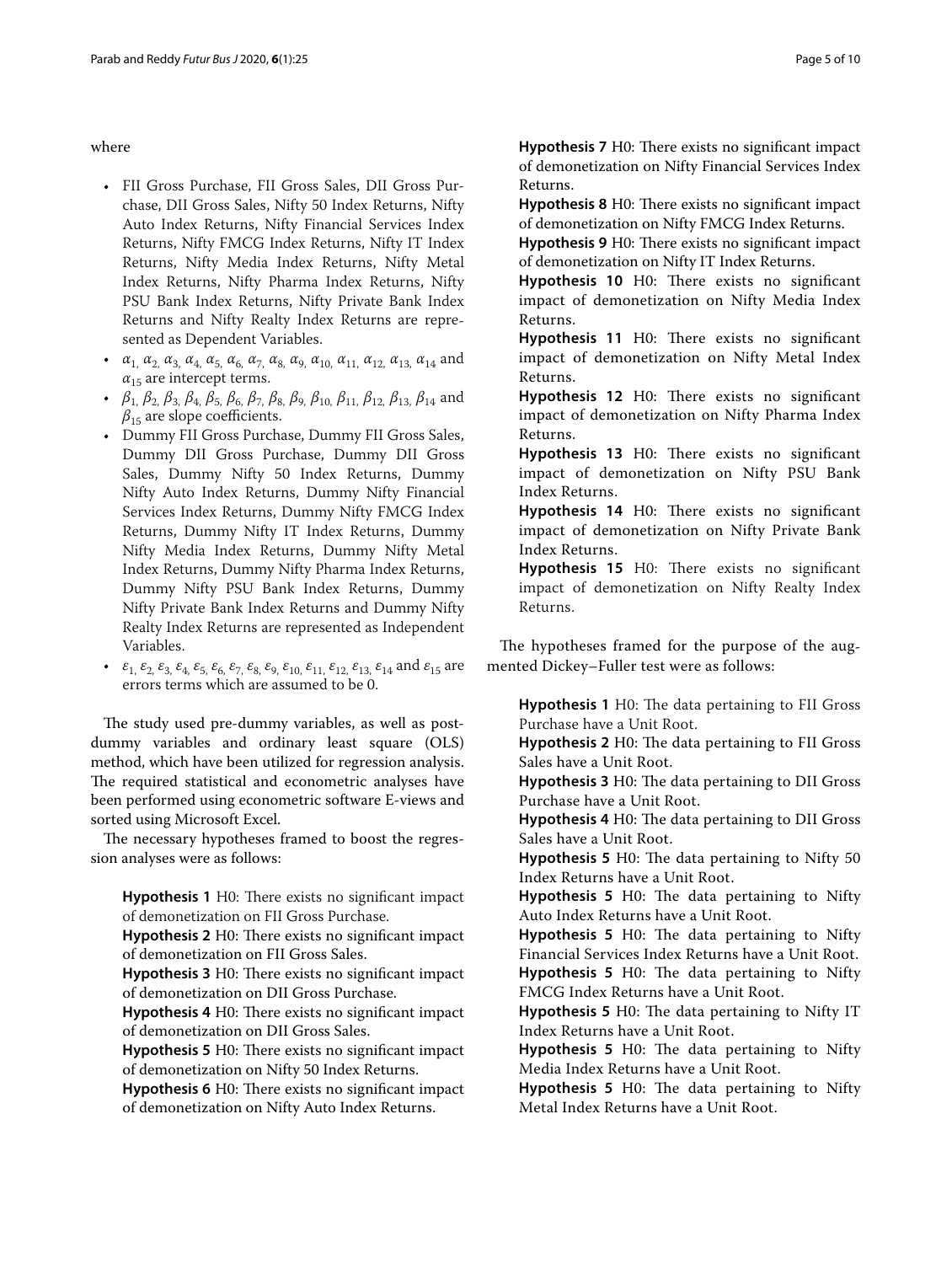where

- FII Gross Purchase, FII Gross Sales, DII Gross Purchase, DII Gross Sales, Nifty 50 Index Returns, Nifty Auto Index Returns, Nifty Financial Services Index Returns, Nifty FMCG Index Returns, Nifty IT Index Returns, Nifty Media Index Returns, Nifty Metal Index Returns, Nifty Pharma Index Returns, Nifty PSU Bank Index Returns, Nifty Private Bank Index Returns and Nifty Realty Index Returns are represented as Dependent Variables.
- $\alpha_1$ ,  $\alpha_2$ ,  $\alpha_3$ ,  $\alpha_4$ ,  $\alpha_5$ ,  $\alpha_6$ ,  $\alpha_7$ ,  $\alpha_8$ ,  $\alpha_9$ ,  $\alpha_{10}$ ,  $\alpha_{11}$ ,  $\alpha_{12}$ ,  $\alpha_{13}$ ,  $\alpha_{14}$  and  $\alpha_{15}$  are intercept terms.
- *β*1, *β*2, *β*3, *β*4, *β*5, *β*6, *β*7, *β*8, *β*9, *β*10, *β*11, *β*12, *β*13, *β*14 and  $\beta_{15}$  are slope coefficients.
- Dummy FII Gross Purchase, Dummy FII Gross Sales, Dummy DII Gross Purchase, Dummy DII Gross Sales, Dummy Nifty 50 Index Returns, Dummy Nifty Auto Index Returns, Dummy Nifty Financial Services Index Returns, Dummy Nifty FMCG Index Returns, Dummy Nifty IT Index Returns, Dummy Nifty Media Index Returns, Dummy Nifty Metal Index Returns, Dummy Nifty Pharma Index Returns, Dummy Nifty PSU Bank Index Returns, Dummy Nifty Private Bank Index Returns and Dummy Nifty Realty Index Returns are represented as Independent Variables.
- $\varepsilon_1$ ,  $\varepsilon_2$ ,  $\varepsilon_3$ ,  $\varepsilon_4$ ,  $\varepsilon_5$ ,  $\varepsilon_6$ ,  $\varepsilon_7$ ,  $\varepsilon_8$ ,  $\varepsilon_9$ ,  $\varepsilon_{10}$ ,  $\varepsilon_{11}$ ,  $\varepsilon_{12}$ ,  $\varepsilon_{13}$ ,  $\varepsilon_{14}$  and  $\varepsilon_{15}$  are errors terms which are assumed to be 0.

The study used pre-dummy variables, as well as postdummy variables and ordinary least square (OLS) method, which have been utilized for regression analysis. The required statistical and econometric analyses have been performed using econometric software E-views and sorted using Microsoft Excel.

The necessary hypotheses framed to boost the regression analyses were as follows:

**Hypothesis 1** H0: There exists no significant impact of demonetization on FII Gross Purchase.

**Hypothesis 2** H0: There exists no significant impact of demonetization on FII Gross Sales.

Hypothesis 3 H0: There exists no significant impact of demonetization on DII Gross Purchase.

**Hypothesis 4** H0: There exists no significant impact of demonetization on DII Gross Sales.

**Hypothesis 5** H0: There exists no significant impact of demonetization on Nifty 50 Index Returns.

Hypothesis 6 H0: There exists no significant impact of demonetization on Nifty Auto Index Returns.

**Hypothesis 7** H0: There exists no significant impact of demonetization on Nifty Financial Services Index Returns.

**Hypothesis 8** H0: There exists no significant impact of demonetization on Nifty FMCG Index Returns.

Hypothesis 9 H0: There exists no significant impact of demonetization on Nifty IT Index Returns.

**Hypothesis 10** H0: There exists no significant impact of demonetization on Nifty Media Index Returns.

Hypothesis 11 H0: There exists no significant impact of demonetization on Nifty Metal Index Returns.

Hypothesis 12 H0: There exists no significant impact of demonetization on Nifty Pharma Index Returns.

Hypothesis 13 H0: There exists no significant impact of demonetization on Nifty PSU Bank Index Returns.

**Hypothesis 14** H0: There exists no significant impact of demonetization on Nifty Private Bank Index Returns.

**Hypothesis 15** H0: There exists no significant impact of demonetization on Nifty Realty Index Returns.

The hypotheses framed for the purpose of the augmented Dickey–Fuller test were as follows:

Hypothesis 1 H0: The data pertaining to FII Gross Purchase have a Unit Root.

**Hypothesis 2** H0: The data pertaining to FII Gross Sales have a Unit Root.

Hypothesis 3 H0: The data pertaining to DII Gross Purchase have a Unit Root.

Hypothesis 4 H0: The data pertaining to DII Gross Sales have a Unit Root.

**Hypothesis 5** H0: The data pertaining to Nifty 50 Index Returns have a Unit Root.

Hypothesis 5 H0: The data pertaining to Nifty Auto Index Returns have a Unit Root.

**Hypothesis 5** H0: The data pertaining to Nifty Financial Services Index Returns have a Unit Root. Hypothesis 5 H0: The data pertaining to Nifty FMCG Index Returns have a Unit Root.

Hypothesis 5 H0: The data pertaining to Nifty IT Index Returns have a Unit Root.

Hypothesis 5 H0: The data pertaining to Nifty Media Index Returns have a Unit Root.

Hypothesis 5 H0: The data pertaining to Nifty Metal Index Returns have a Unit Root.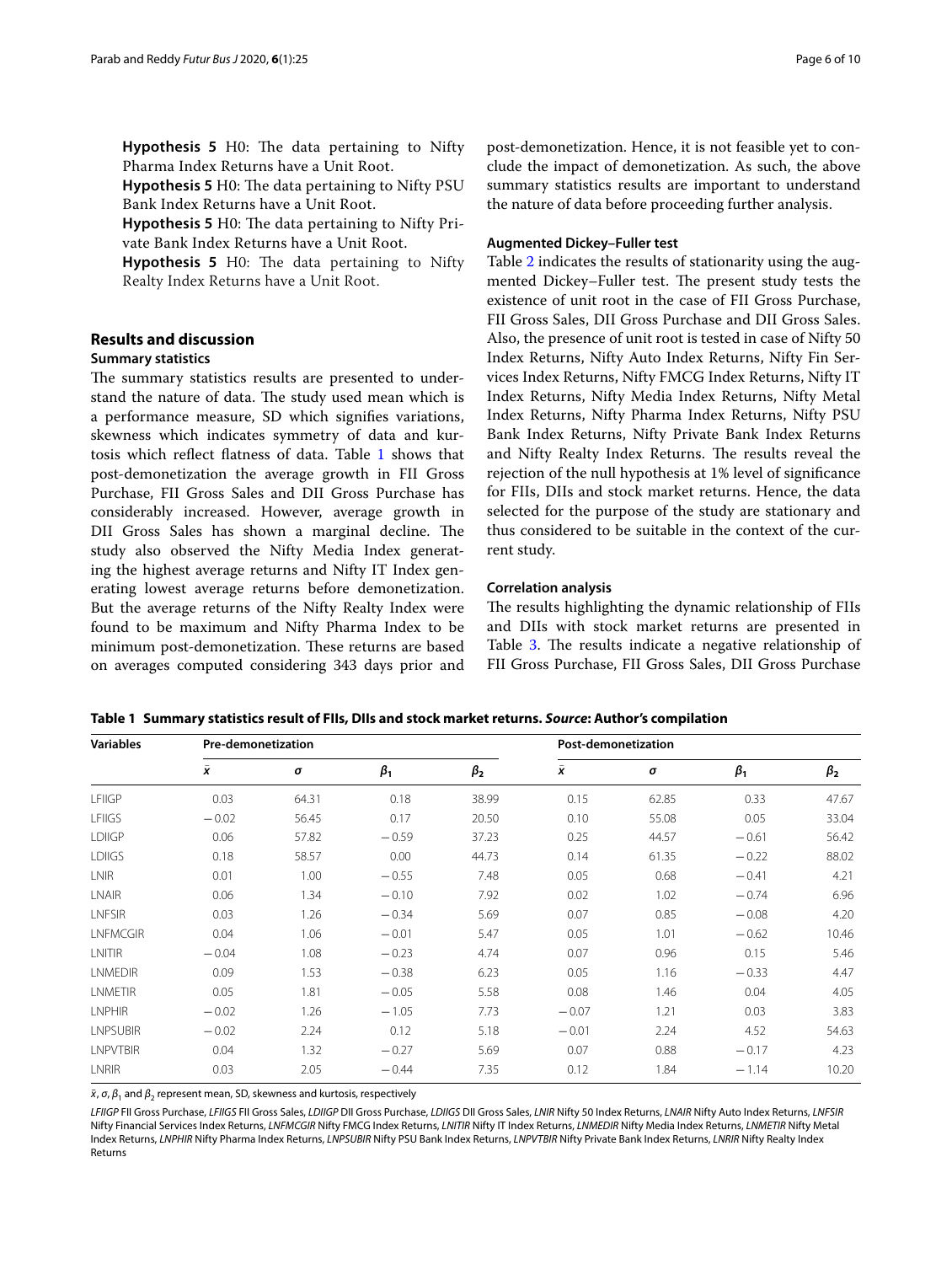**Hypothesis 5** H0: The data pertaining to Nifty Pharma Index Returns have a Unit Root.

**Hypothesis 5** H0: The data pertaining to Nifty PSU Bank Index Returns have a Unit Root.

**Hypothesis 5** H0: The data pertaining to Nifty Private Bank Index Returns have a Unit Root.

**Hypothesis 5** H0: The data pertaining to Nifty Realty Index Returns have a Unit Root.

# **Results and discussion**

## **Summary statistics**

The summary statistics results are presented to understand the nature of data. The study used mean which is a performance measure, SD which signifes variations, skewness which indicates symmetry of data and kurtosis which refect fatness of data. Table [1](#page-5-0) shows that post-demonetization the average growth in FII Gross Purchase, FII Gross Sales and DII Gross Purchase has considerably increased. However, average growth in DII Gross Sales has shown a marginal decline. The study also observed the Nifty Media Index generating the highest average returns and Nifty IT Index generating lowest average returns before demonetization. But the average returns of the Nifty Realty Index were found to be maximum and Nifty Pharma Index to be minimum post-demonetization. These returns are based on averages computed considering 343 days prior and

post-demonetization. Hence, it is not feasible yet to conclude the impact of demonetization. As such, the above summary statistics results are important to understand the nature of data before proceeding further analysis.

### **Augmented Dickey–Fuller test**

Table [2](#page-6-0) indicates the results of stationarity using the augmented Dickey–Fuller test. The present study tests the existence of unit root in the case of FII Gross Purchase, FII Gross Sales, DII Gross Purchase and DII Gross Sales. Also, the presence of unit root is tested in case of Nifty 50 Index Returns, Nifty Auto Index Returns, Nifty Fin Services Index Returns, Nifty FMCG Index Returns, Nifty IT Index Returns, Nifty Media Index Returns, Nifty Metal Index Returns, Nifty Pharma Index Returns, Nifty PSU Bank Index Returns, Nifty Private Bank Index Returns and Nifty Realty Index Returns. The results reveal the rejection of the null hypothesis at 1% level of signifcance for FIIs, DIIs and stock market returns. Hence, the data selected for the purpose of the study are stationary and thus considered to be suitable in the context of the current study.

#### **Correlation analysis**

The results highlighting the dynamic relationship of FIIs and DIIs with stock market returns are presented in Table [3](#page-7-0). The results indicate a negative relationship of FII Gross Purchase, FII Gross Sales, DII Gross Purchase

| <b>Variables</b> | Pre-demonetization |          |           |             | Post-demonetization |       |           |             |
|------------------|--------------------|----------|-----------|-------------|---------------------|-------|-----------|-------------|
|                  | x                  | $\sigma$ | $\beta_1$ | $\beta_{2}$ | $\bar{\mathbf{x}}$  | σ     | $\beta_1$ | $\beta_{2}$ |
| LFIIGP           | 0.03               | 64.31    | 0.18      | 38.99       | 0.15                | 62.85 | 0.33      | 47.67       |
| <b>LFIIGS</b>    | $-0.02$            | 56.45    | 0.17      | 20.50       | 0.10                | 55.08 | 0.05      | 33.04       |
| <b>LDIIGP</b>    | 0.06               | 57.82    | $-0.59$   | 37.23       | 0.25                | 44.57 | $-0.61$   | 56.42       |
| <b>LDIIGS</b>    | 0.18               | 58.57    | 0.00      | 44.73       | 0.14                | 61.35 | $-0.22$   | 88.02       |
| <b>LNIR</b>      | 0.01               | 1.00     | $-0.55$   | 7.48        | 0.05                | 0.68  | $-0.41$   | 4.21        |
| <b>LNAIR</b>     | 0.06               | 1.34     | $-0.10$   | 7.92        | 0.02                | 1.02  | $-0.74$   | 6.96        |
| <b>LNFSIR</b>    | 0.03               | 1.26     | $-0.34$   | 5.69        | 0.07                | 0.85  | $-0.08$   | 4.20        |
| LNFMCGIR         | 0.04               | 1.06     | $-0.01$   | 5.47        | 0.05                | 1.01  | $-0.62$   | 10.46       |
| LNITIR           | $-0.04$            | 1.08     | $-0.23$   | 4.74        | 0.07                | 0.96  | 0.15      | 5.46        |
| <b>LNMEDIR</b>   | 0.09               | 1.53     | $-0.38$   | 6.23        | 0.05                | 1.16  | $-0.33$   | 4.47        |
| LNMETIR          | 0.05               | 1.81     | $-0.05$   | 5.58        | 0.08                | 1.46  | 0.04      | 4.05        |
| LNPHIR           | $-0.02$            | 1.26     | $-1.05$   | 7.73        | $-0.07$             | 1.21  | 0.03      | 3.83        |
| <b>LNPSUBIR</b>  | $-0.02$            | 2.24     | 0.12      | 5.18        | $-0.01$             | 2.24  | 4.52      | 54.63       |
| <b>LNPVTBIR</b>  | 0.04               | 1.32     | $-0.27$   | 5.69        | 0.07                | 0.88  | $-0.17$   | 4.23        |
| LNRIR            | 0.03               | 2.05     | $-0.44$   | 7.35        | 0.12                | 1.84  | $-1.14$   | 10.20       |

<span id="page-5-0"></span>**Table 1 Summary statistics result of FIIs, DIIs and stock market returns.** *Source***: Author's compilation**

 $\bar{x}$ ,  $\sigma$ ,  $\beta$ <sub>1</sub> and  $\beta$ <sub>2</sub> represent mean, SD, skewness and kurtosis, respectively

*LFIIGP* FII Gross Purchase, *LFIIGS* FII Gross Sales, *LDIIGP* DII Gross Purchase, *LDIIGS* DII Gross Sales, *LNIR* Nifty 50 Index Returns, *LNAIR* Nifty Auto Index Returns, *LNFSIR* Nifty Financial Services Index Returns, *LNFMCGIR* Nifty FMCG Index Returns, *LNITIR* Nifty IT Index Returns, *LNMEDIR* Nifty Media Index Returns, *LNMETIR* Nifty Metal Index Returns, *LNPHIR* Nifty Pharma Index Returns, *LNPSUBIR* Nifty PSU Bank Index Returns, *LNPVTBIR* Nifty Private Bank Index Returns, *LNRIR* Nifty Realty Index Returns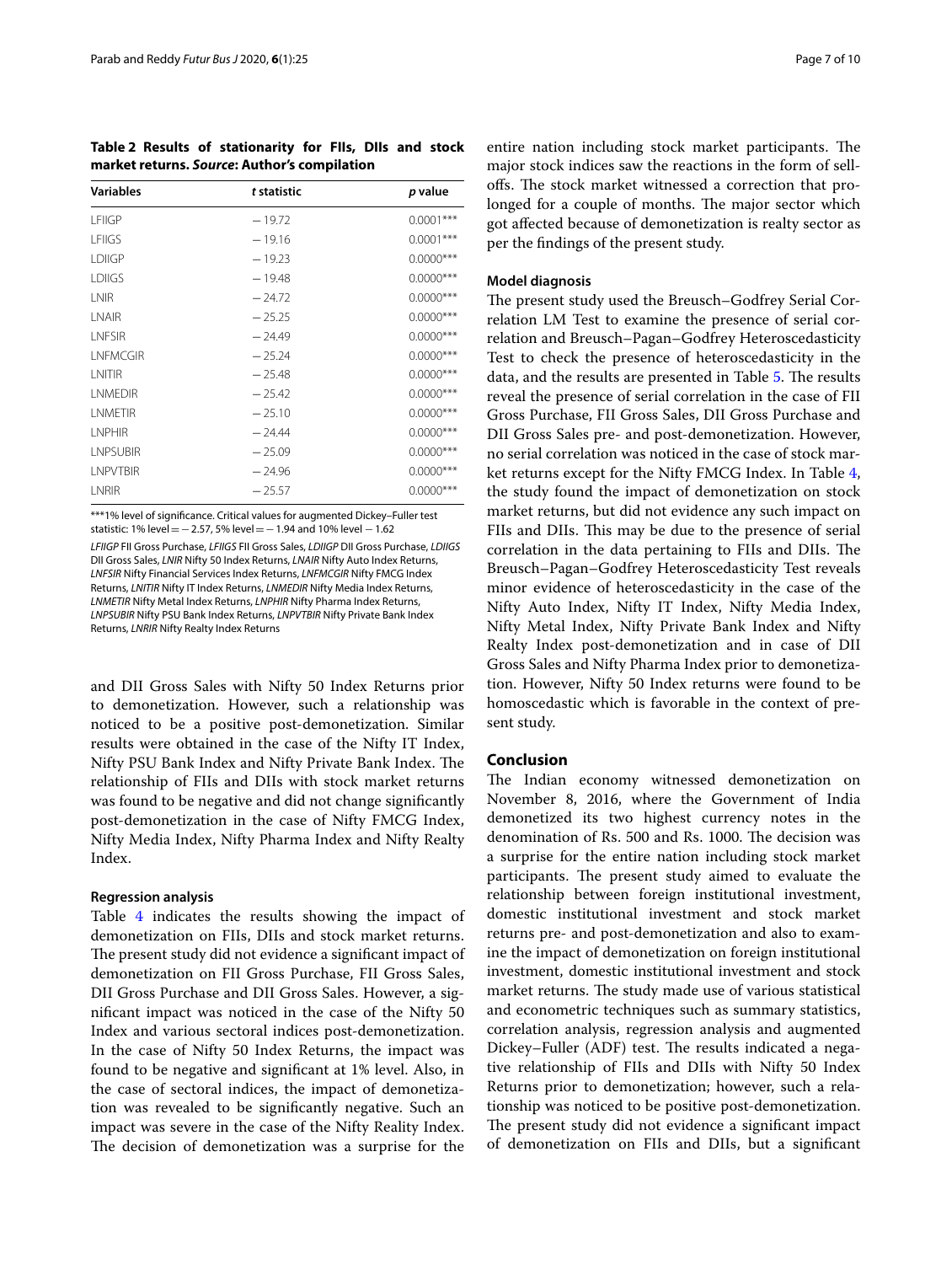<span id="page-6-0"></span>**Table 2 Results of stationarity for FIIs, DIIs and stock market returns.** *Source***: Author's compilation**

| <b>Variables</b> | t statistic | p value      |
|------------------|-------------|--------------|
| <b>LFIIGP</b>    | $-19.72$    | $0.0001***$  |
| <b>I FIIGS</b>   | $-19.16$    | $0.0001$ *** |
| <b>LDIIGP</b>    | $-19.23$    | $0.0000$ *** |
| <b>LDIIGS</b>    | $-19.48$    | $0.0000$ *** |
| I NIR            | $-24.72$    | $0.0000$ *** |
| <b>INAIR</b>     | $-25.25$    | $0.0000$ *** |
| <b>INESIR</b>    | $-24.49$    | $0.0000$ *** |
| <b>INFMCGIR</b>  | $-25.24$    | $0.0000$ *** |
| <b>INITIR</b>    | $-25.48$    | $0.0000$ *** |
| <b>I NMFDIR</b>  | $-25.42$    | $0.0000$ *** |
| <b>I NMFTIR</b>  | $-25.10$    | $0.0000$ *** |
| <b>I NPHIR</b>   | $-24.44$    | $0.0000$ *** |
| <b>LNPSUBIR</b>  | $-25.09$    | $0.0000$ *** |
| <b>I NPVTBIR</b> | $-24.96$    | $0.0000$ *** |
| LNRIR            | $-25.57$    | $0.0000$ *** |

\*\*\*1% level of significance. Critical values for augmented Dickey–Fuller test statistic: 1% level=−2.57, 5% level=−1.94 and 10% level −1.62

*LFIIGP* FII Gross Purchase, *LFIIGS* FII Gross Sales, *LDIIGP* DII Gross Purchase, *LDIIGS* DII Gross Sales, *LNIR* Nifty 50 Index Returns, *LNAIR* Nifty Auto Index Returns, *LNFSIR* Nifty Financial Services Index Returns, *LNFMCGIR* Nifty FMCG Index Returns, *LNITIR* Nifty IT Index Returns, *LNMEDIR* Nifty Media Index Returns, *LNMETIR* Nifty Metal Index Returns, *LNPHIR* Nifty Pharma Index Returns, *LNPSUBIR* Nifty PSU Bank Index Returns, *LNPVTBIR* Nifty Private Bank Index Returns, *LNRIR* Nifty Realty Index Returns

and DII Gross Sales with Nifty 50 Index Returns prior to demonetization. However, such a relationship was noticed to be a positive post-demonetization. Similar results were obtained in the case of the Nifty IT Index, Nifty PSU Bank Index and Nifty Private Bank Index. The relationship of FIIs and DIIs with stock market returns was found to be negative and did not change signifcantly post-demonetization in the case of Nifty FMCG Index, Nifty Media Index, Nifty Pharma Index and Nifty Realty Index.

#### **Regression analysis**

Table [4](#page-8-0) indicates the results showing the impact of demonetization on FIIs, DIIs and stock market returns. The present study did not evidence a significant impact of demonetization on FII Gross Purchase, FII Gross Sales, DII Gross Purchase and DII Gross Sales. However, a signifcant impact was noticed in the case of the Nifty 50 Index and various sectoral indices post-demonetization. In the case of Nifty 50 Index Returns, the impact was found to be negative and signifcant at 1% level. Also, in the case of sectoral indices, the impact of demonetization was revealed to be signifcantly negative. Such an impact was severe in the case of the Nifty Reality Index. The decision of demonetization was a surprise for the

entire nation including stock market participants. The major stock indices saw the reactions in the form of selloffs. The stock market witnessed a correction that prolonged for a couple of months. The major sector which got afected because of demonetization is realty sector as per the fndings of the present study.

#### **Model diagnosis**

The present study used the Breusch–Godfrey Serial Correlation LM Test to examine the presence of serial correlation and Breusch–Pagan–Godfrey Heteroscedasticity Test to check the presence of heteroscedasticity in the data, and the results are presented in Table [5.](#page-8-1) The results reveal the presence of serial correlation in the case of FII Gross Purchase, FII Gross Sales, DII Gross Purchase and DII Gross Sales pre- and post-demonetization. However, no serial correlation was noticed in the case of stock market returns except for the Nifty FMCG Index. In Table [4](#page-8-0), the study found the impact of demonetization on stock market returns, but did not evidence any such impact on FIIs and DIIs. This may be due to the presence of serial correlation in the data pertaining to FIIs and DIIs. The Breusch–Pagan–Godfrey Heteroscedasticity Test reveals minor evidence of heteroscedasticity in the case of the Nifty Auto Index, Nifty IT Index, Nifty Media Index, Nifty Metal Index, Nifty Private Bank Index and Nifty Realty Index post-demonetization and in case of DII Gross Sales and Nifty Pharma Index prior to demonetization. However, Nifty 50 Index returns were found to be homoscedastic which is favorable in the context of present study.

## **Conclusion**

The Indian economy witnessed demonetization on November 8, 2016, where the Government of India demonetized its two highest currency notes in the denomination of Rs. 500 and Rs. 1000. The decision was a surprise for the entire nation including stock market participants. The present study aimed to evaluate the relationship between foreign institutional investment, domestic institutional investment and stock market returns pre- and post-demonetization and also to examine the impact of demonetization on foreign institutional investment, domestic institutional investment and stock market returns. The study made use of various statistical and econometric techniques such as summary statistics, correlation analysis, regression analysis and augmented Dickey–Fuller (ADF) test. The results indicated a negative relationship of FIIs and DIIs with Nifty 50 Index Returns prior to demonetization; however, such a relationship was noticed to be positive post-demonetization. The present study did not evidence a significant impact of demonetization on FIIs and DIIs, but a signifcant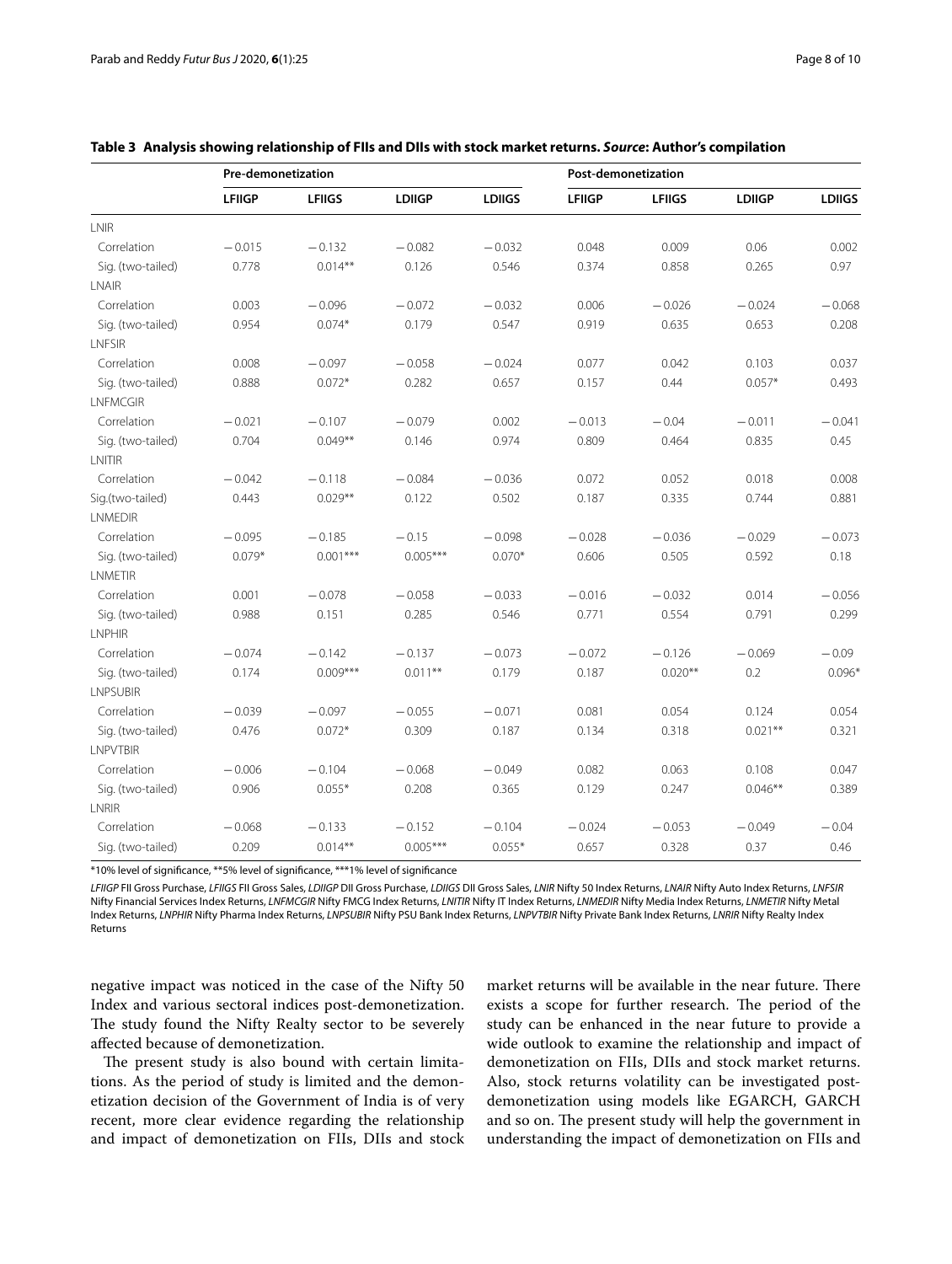|                   | Pre-demonetization |               |               |               | Post-demonetization |               |               |               |
|-------------------|--------------------|---------------|---------------|---------------|---------------------|---------------|---------------|---------------|
|                   | <b>LFIIGP</b>      | <b>LFIIGS</b> | <b>LDIIGP</b> | <b>LDIIGS</b> | <b>LFIIGP</b>       | <b>LFIIGS</b> | <b>LDIIGP</b> | <b>LDIIGS</b> |
| LNIR              |                    |               |               |               |                     |               |               |               |
| Correlation       | $-0.015$           | $-0.132$      | $-0.082$      | $-0.032$      | 0.048               | 0.009         | 0.06          | 0.002         |
| Sig. (two-tailed) | 0.778              | $0.014**$     | 0.126         | 0.546         | 0.374               | 0.858         | 0.265         | 0.97          |
| LNAIR             |                    |               |               |               |                     |               |               |               |
| Correlation       | 0.003              | $-0.096$      | $-0.072$      | $-0.032$      | 0.006               | $-0.026$      | $-0.024$      | $-0.068$      |
| Sig. (two-tailed) | 0.954              | $0.074*$      | 0.179         | 0.547         | 0.919               | 0.635         | 0.653         | 0.208         |
| LNFSIR            |                    |               |               |               |                     |               |               |               |
| Correlation       | 0.008              | $-0.097$      | $-0.058$      | $-0.024$      | 0.077               | 0.042         | 0.103         | 0.037         |
| Sig. (two-tailed) | 0.888              | $0.072*$      | 0.282         | 0.657         | 0.157               | 0.44          | $0.057*$      | 0.493         |
| <b>LNFMCGIR</b>   |                    |               |               |               |                     |               |               |               |
| Correlation       | $-0.021$           | $-0.107$      | $-0.079$      | 0.002         | $-0.013$            | $-0.04$       | $-0.011$      | $-0.041$      |
| Sig. (two-tailed) | 0.704              | $0.049**$     | 0.146         | 0.974         | 0.809               | 0.464         | 0.835         | 0.45          |
| LNITIR            |                    |               |               |               |                     |               |               |               |
| Correlation       | $-0.042$           | $-0.118$      | $-0.084$      | $-0.036$      | 0.072               | 0.052         | 0.018         | 0.008         |
| Sig.(two-tailed)  | 0.443              | $0.029**$     | 0.122         | 0.502         | 0.187               | 0.335         | 0.744         | 0.881         |
| <b>LNMEDIR</b>    |                    |               |               |               |                     |               |               |               |
| Correlation       | $-0.095$           | $-0.185$      | $-0.15$       | $-0.098$      | $-0.028$            | $-0.036$      | $-0.029$      | $-0.073$      |
| Sig. (two-tailed) | $0.079*$           | $0.001***$    | $0.005***$    | $0.070*$      | 0.606               | 0.505         | 0.592         | 0.18          |
| <b>LNMETIR</b>    |                    |               |               |               |                     |               |               |               |
| Correlation       | 0.001              | $-0.078$      | $-0.058$      | $-0.033$      | $-0.016$            | $-0.032$      | 0.014         | $-0.056$      |
| Sig. (two-tailed) | 0.988              | 0.151         | 0.285         | 0.546         | 0.771               | 0.554         | 0.791         | 0.299         |
| <b>LNPHIR</b>     |                    |               |               |               |                     |               |               |               |
| Correlation       | $-0.074$           | $-0.142$      | $-0.137$      | $-0.073$      | $-0.072$            | $-0.126$      | $-0.069$      | $-0.09$       |
| Sig. (two-tailed) | 0.174              | $0.009***$    | $0.011***$    | 0.179         | 0.187               | $0.020**$     | 0.2           | $0.096*$      |
| <b>LNPSUBIR</b>   |                    |               |               |               |                     |               |               |               |
| Correlation       | $-0.039$           | $-0.097$      | $-0.055$      | $-0.071$      | 0.081               | 0.054         | 0.124         | 0.054         |
| Sig. (two-tailed) | 0.476              | $0.072*$      | 0.309         | 0.187         | 0.134               | 0.318         | $0.021***$    | 0.321         |
| <b>LNPVTBIR</b>   |                    |               |               |               |                     |               |               |               |
| Correlation       | $-0.006$           | $-0.104$      | $-0.068$      | $-0.049$      | 0.082               | 0.063         | 0.108         | 0.047         |
| Sig. (two-tailed) | 0.906              | $0.055*$      | 0.208         | 0.365         | 0.129               | 0.247         | $0.046**$     | 0.389         |
| LNRIR             |                    |               |               |               |                     |               |               |               |
| Correlation       | $-0.068$           | $-0.133$      | $-0.152$      | $-0.104$      | $-0.024$            | $-0.053$      | $-0.049$      | $-0.04$       |
| Sig. (two-tailed) | 0.209              | $0.014***$    | $0.005***$    | $0.055*$      | 0.657               | 0.328         | 0.37          | 0.46          |

### <span id="page-7-0"></span>**Table 3 Analysis showing relationship of FIIs and DIIs with stock market returns.** *Source***: Author's compilation**

\*10% level of signifcance, \*\*5% level of signifcance, \*\*\*1% level of signifcance

*LFIIGP* FII Gross Purchase, *LFIIGS* FII Gross Sales, *LDIIGP* DII Gross Purchase, *LDIIGS* DII Gross Sales, *LNIR* Nifty 50 Index Returns, *LNAIR* Nifty Auto Index Returns, *LNFSIR* Nifty Financial Services Index Returns, *LNFMCGIR* Nifty FMCG Index Returns, *LNITIR* Nifty IT Index Returns, *LNMEDIR* Nifty Media Index Returns, *LNMETIR* Nifty Metal Index Returns, *LNPHIR* Nifty Pharma Index Returns, *LNPSUBIR* Nifty PSU Bank Index Returns, *LNPVTBIR* Nifty Private Bank Index Returns, *LNRIR* Nifty Realty Index Returns

negative impact was noticed in the case of the Nifty 50 Index and various sectoral indices post-demonetization. The study found the Nifty Realty sector to be severely afected because of demonetization.

The present study is also bound with certain limitations. As the period of study is limited and the demonetization decision of the Government of India is of very recent, more clear evidence regarding the relationship and impact of demonetization on FIIs, DIIs and stock

market returns will be available in the near future. There exists a scope for further research. The period of the study can be enhanced in the near future to provide a wide outlook to examine the relationship and impact of demonetization on FIIs, DIIs and stock market returns. Also, stock returns volatility can be investigated postdemonetization using models like EGARCH, GARCH and so on. The present study will help the government in understanding the impact of demonetization on FIIs and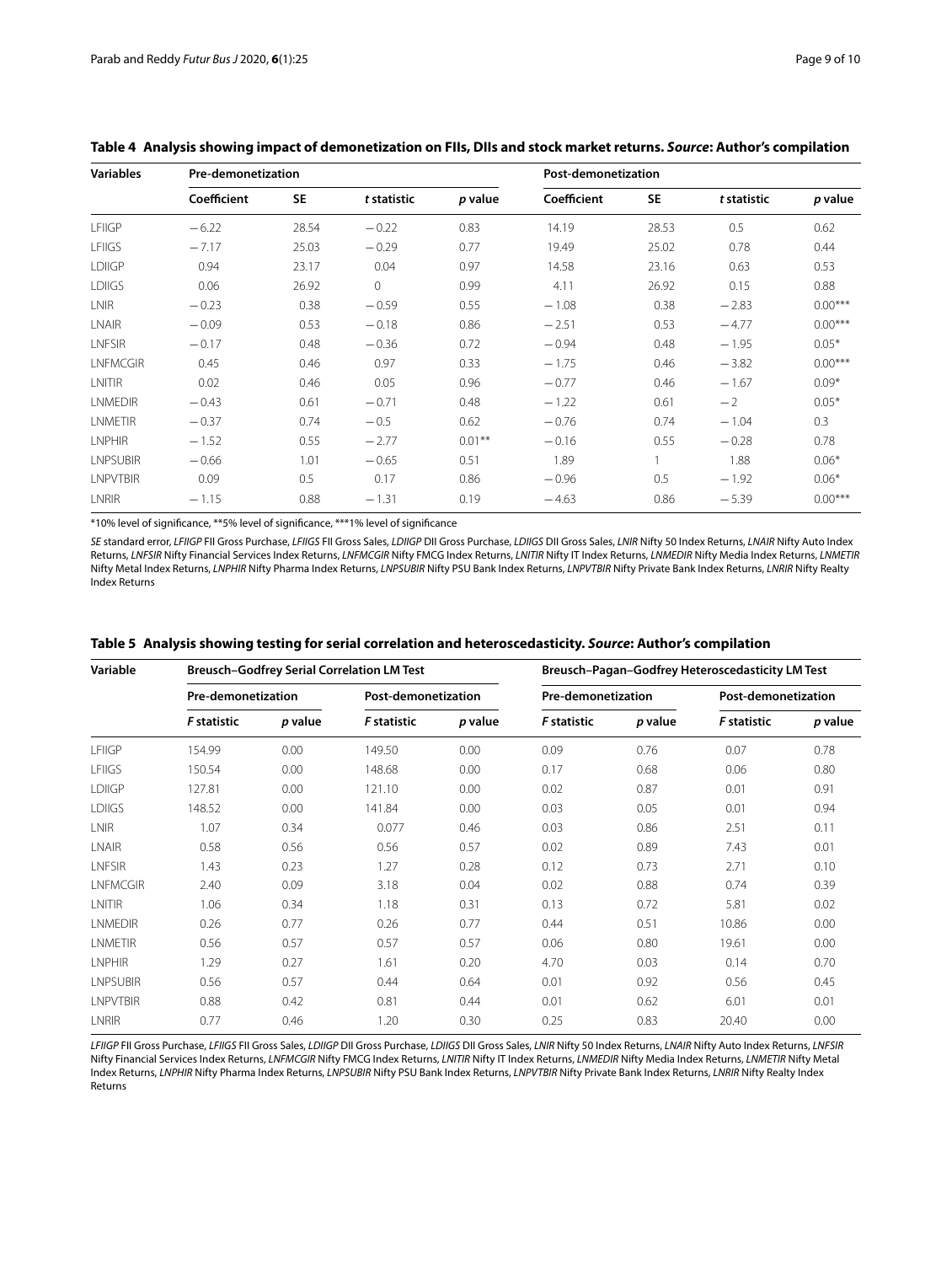| <b>Variables</b> | Pre-demonetization |           |             |           | Post-demonetization |           |             |           |
|------------------|--------------------|-----------|-------------|-----------|---------------------|-----------|-------------|-----------|
|                  | Coefficient        | <b>SE</b> | t statistic | p value   | Coefficient         | <b>SE</b> | t statistic | p value   |
| <b>LFIIGP</b>    | $-6.22$            | 28.54     | $-0.22$     | 0.83      | 14.19               | 28.53     | 0.5         | 0.62      |
| <b>LFIIGS</b>    | $-7.17$            | 25.03     | $-0.29$     | 0.77      | 19.49               | 25.02     | 0.78        | 0.44      |
| <b>LDIIGP</b>    | 0.94               | 23.17     | 0.04        | 0.97      | 14.58               | 23.16     | 0.63        | 0.53      |
| <b>LDIIGS</b>    | 0.06               | 26.92     | 0           | 0.99      | 4.11                | 26.92     | 0.15        | 0.88      |
| <b>LNIR</b>      | $-0.23$            | 0.38      | $-0.59$     | 0.55      | $-1.08$             | 0.38      | $-2.83$     | $0.00***$ |
| <b>LNAIR</b>     | $-0.09$            | 0.53      | $-0.18$     | 0.86      | $-2.51$             | 0.53      | $-4.77$     | $0.00***$ |
| <b>LNFSIR</b>    | $-0.17$            | 0.48      | $-0.36$     | 0.72      | $-0.94$             | 0.48      | $-1.95$     | $0.05*$   |
| <b>LNFMCGIR</b>  | 0.45               | 0.46      | 0.97        | 0.33      | $-1.75$             | 0.46      | $-3.82$     | $0.00***$ |
| LNITIR           | 0.02               | 0.46      | 0.05        | 0.96      | $-0.77$             | 0.46      | $-1.67$     | $0.09*$   |
| <b>LNMEDIR</b>   | $-0.43$            | 0.61      | $-0.71$     | 0.48      | $-1.22$             | 0.61      | $-2$        | $0.05*$   |
| <b>LNMETIR</b>   | $-0.37$            | 0.74      | $-0.5$      | 0.62      | $-0.76$             | 0.74      | $-1.04$     | 0.3       |
| <b>LNPHIR</b>    | $-1.52$            | 0.55      | $-2.77$     | $0.01***$ | $-0.16$             | 0.55      | $-0.28$     | 0.78      |
| <b>LNPSUBIR</b>  | $-0.66$            | 1.01      | $-0.65$     | 0.51      | 1.89                |           | 1.88        | $0.06*$   |
| <b>LNPVTBIR</b>  | 0.09               | 0.5       | 0.17        | 0.86      | $-0.96$             | 0.5       | $-1.92$     | $0.06*$   |
| <b>LNRIR</b>     | $-1.15$            | 0.88      | $-1.31$     | 0.19      | $-4.63$             | 0.86      | $-5.39$     | $0.00***$ |

## <span id="page-8-0"></span>**Table 4 Analysis showing impact of demonetization on FIIs, DIIs and stock market returns.** *Source***: Author's compilation**

\*10% level of signifcance, \*\*5% level of signifcance, \*\*\*1% level of signifcance

*SE* standard error, *LFIIGP* FII Gross Purchase, *LFIIGS* FII Gross Sales, *LDIIGP* DII Gross Purchase, *LDIIGS* DII Gross Sales, *LNIR* Nifty 50 Index Returns, *LNAIR* Nifty Auto Index Returns, *LNFSIR* Nifty Financial Services Index Returns, *LNFMCGIR* Nifty FMCG Index Returns, *LNITIR* Nifty IT Index Returns, *LNMEDIR* Nifty Media Index Returns, *LNMETIR* Nifty Metal Index Returns, *LNPHIR* Nifty Pharma Index Returns, *LNPSUBIR* Nifty PSU Bank Index Returns, *LNPVTBIR* Nifty Private Bank Index Returns, *LNRIR* Nifty Realty Index Returns

| Variable        |                    |         | <b>Breusch-Godfrey Serial Correlation LM Test</b> |         | Breusch-Pagan-Godfrey Heteroscedasticity LM Test |         |                     |         |  |
|-----------------|--------------------|---------|---------------------------------------------------|---------|--------------------------------------------------|---------|---------------------|---------|--|
|                 | Pre-demonetization |         | Post-demonetization                               |         | Pre-demonetization                               |         | Post-demonetization |         |  |
|                 | F statistic        | p value | <b>F</b> statistic                                | p value | <b>F</b> statistic                               | p value | <b>F</b> statistic  | p value |  |
| LFIIGP          | 154.99             | 0.00    | 149.50                                            | 0.00    | 0.09                                             | 0.76    | 0.07                | 0.78    |  |
| <b>LFIIGS</b>   | 150.54             | 0.00    | 148.68                                            | 0.00    | 0.17                                             | 0.68    | 0.06                | 0.80    |  |
| <b>LDIIGP</b>   | 127.81             | 0.00    | 121.10                                            | 0.00    | 0.02                                             | 0.87    | 0.01                | 0.91    |  |
| <b>LDIIGS</b>   | 148.52             | 0.00    | 141.84                                            | 0.00    | 0.03                                             | 0.05    | 0.01                | 0.94    |  |
| <b>LNIR</b>     | 1.07               | 0.34    | 0.077                                             | 0.46    | 0.03                                             | 0.86    | 2.51                | 0.11    |  |
| LNAIR           | 0.58               | 0.56    | 0.56                                              | 0.57    | 0.02                                             | 0.89    | 7.43                | 0.01    |  |
| <b>LNFSIR</b>   | 1.43               | 0.23    | 1.27                                              | 0.28    | 0.12                                             | 0.73    | 2.71                | 0.10    |  |
| <b>LNFMCGIR</b> | 2.40               | 0.09    | 3.18                                              | 0.04    | 0.02                                             | 0.88    | 0.74                | 0.39    |  |
| LNITIR          | 1.06               | 0.34    | 1.18                                              | 0.31    | 0.13                                             | 0.72    | 5.81                | 0.02    |  |
| <b>LNMEDIR</b>  | 0.26               | 0.77    | 0.26                                              | 0.77    | 0.44                                             | 0.51    | 10.86               | 0.00    |  |
| LNMETIR         | 0.56               | 0.57    | 0.57                                              | 0.57    | 0.06                                             | 0.80    | 19.61               | 0.00    |  |
| <b>I NPHIR</b>  | 1.29               | 0.27    | 1.61                                              | 0.20    | 4.70                                             | 0.03    | 0.14                | 0.70    |  |
| <b>LNPSUBIR</b> | 0.56               | 0.57    | 0.44                                              | 0.64    | 0.01                                             | 0.92    | 0.56                | 0.45    |  |
| LNPVTBIR        | 0.88               | 0.42    | 0.81                                              | 0.44    | 0.01                                             | 0.62    | 6.01                | 0.01    |  |
| LNRIR           | 0.77               | 0.46    | 1.20                                              | 0.30    | 0.25                                             | 0.83    | 20.40               | 0.00    |  |

## <span id="page-8-1"></span>**Table 5 Analysis showing testing for serial correlation and heteroscedasticity.** *Source***: Author's compilation**

*LFIIGP* FII Gross Purchase, *LFIIGS* FII Gross Sales, *LDIIGP* DII Gross Purchase, *LDIIGS* DII Gross Sales, *LNIR* Nifty 50 Index Returns, *LNAIR* Nifty Auto Index Returns, *LNFSIR* Nifty Financial Services Index Returns, *LNFMCGIR* Nifty FMCG Index Returns, *LNITIR* Nifty IT Index Returns, *LNMEDIR* Nifty Media Index Returns, *LNMETIR* Nifty Metal Index Returns, *LNPHIR* Nifty Pharma Index Returns, *LNPSUBIR* Nifty PSU Bank Index Returns, *LNPVTBIR* Nifty Private Bank Index Returns, *LNRIR* Nifty Realty Index Returns